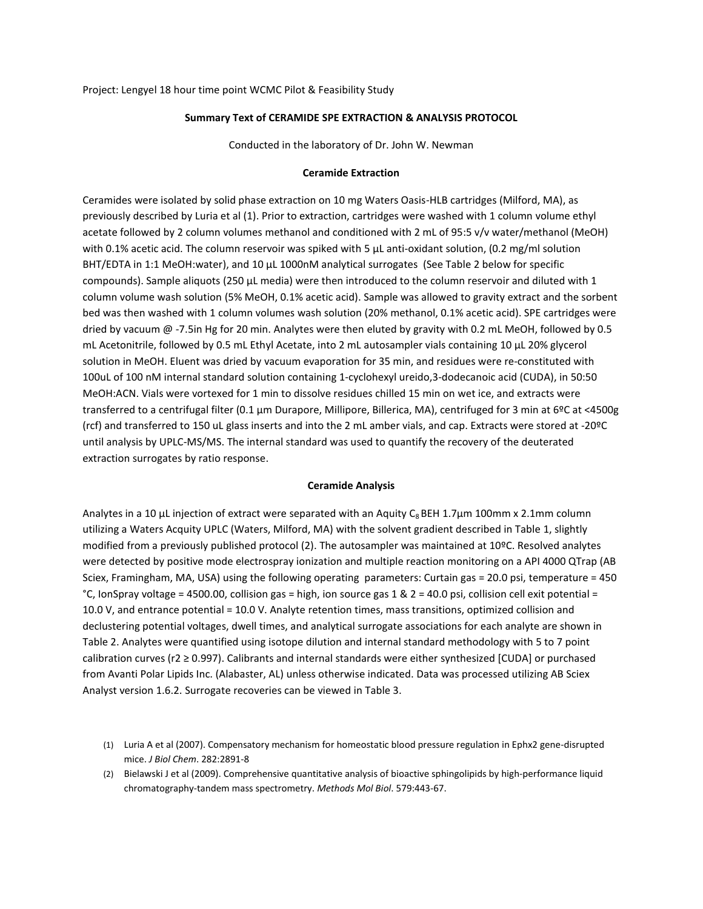Project: Lengyel 18 hour time point WCMC Pilot & Feasibility Study

## **Summary Text of CERAMIDE SPE EXTRACTION & ANALYSIS PROTOCOL**

Conducted in the laboratory of Dr. John W. Newman

## **Ceramide Extraction**

Ceramides were isolated by solid phase extraction on 10 mg Waters Oasis-HLB cartridges (Milford, MA), as previously described by Luria et al (1). Prior to extraction, cartridges were washed with 1 column volume ethyl acetate followed by 2 column volumes methanol and conditioned with 2 mL of 95:5 v/v water/methanol (MeOH) with 0.1% acetic acid. The column reservoir was spiked with 5  $\mu$ L anti-oxidant solution, (0.2 mg/ml solution BHT/EDTA in 1:1 MeOH:water), and 10 μL 1000nM analytical surrogates (See Table 2 below for specific compounds). Sample aliquots (250 μL media) were then introduced to the column reservoir and diluted with 1 column volume wash solution (5% MeOH, 0.1% acetic acid). Sample was allowed to gravity extract and the sorbent bed was then washed with 1 column volumes wash solution (20% methanol, 0.1% acetic acid). SPE cartridges were dried by vacuum @ -7.5in Hg for 20 min. Analytes were then eluted by gravity with 0.2 mL MeOH, followed by 0.5 mL Acetonitrile, followed by 0.5 mL Ethyl Acetate, into 2 mL autosampler vials containing 10 µL 20% glycerol solution in MeOH. Eluent was dried by vacuum evaporation for 35 min, and residues were re-constituted with 100uL of 100 nM internal standard solution containing 1-cyclohexyl ureido,3-dodecanoic acid (CUDA), in 50:50 MeOH:ACN. Vials were vortexed for 1 min to dissolve residues chilled 15 min on wet ice, and extracts were transferred to a centrifugal filter (0.1 µm Durapore, Millipore, Billerica, MA), centrifuged for 3 min at 6ºC at <4500g (rcf) and transferred to 150 uL glass inserts and into the 2 mL amber vials, and cap. Extracts were stored at -20ºC until analysis by UPLC-MS/MS. The internal standard was used to quantify the recovery of the deuterated extraction surrogates by ratio response.

## **Ceramide Analysis**

Analytes in a 10 μL injection of extract were separated with an Aquity C<sub>8</sub> BEH 1.7 $\mu$ m 100mm x 2.1mm column utilizing a Waters Acquity UPLC (Waters, Milford, MA) with the solvent gradient described in Table 1, slightly modified from a previously published protocol (2). The autosampler was maintained at 10ºC. Resolved analytes were detected by positive mode electrospray ionization and multiple reaction monitoring on a API 4000 QTrap (AB Sciex, Framingham, MA, USA) using the following operating parameters: Curtain gas = 20.0 psi, temperature = 450 °C, IonSpray voltage = 4500.00, collision gas = high, ion source gas 1 & 2 = 40.0 psi, collision cell exit potential = 10.0 V, and entrance potential = 10.0 V. Analyte retention times, mass transitions, optimized collision and declustering potential voltages, dwell times, and analytical surrogate associations for each analyte are shown in Table 2. Analytes were quantified using isotope dilution and internal standard methodology with 5 to 7 point calibration curves (r2 ≥ 0.997). Calibrants and internal standards were either synthesized [CUDA] or purchased from Avanti Polar Lipids Inc. (Alabaster, AL) unless otherwise indicated. Data was processed utilizing AB Sciex Analyst version 1.6.2. Surrogate recoveries can be viewed in Table 3.

<sup>(1)</sup> Luria A et al (2007). Compensatory mechanism for homeostatic blood pressure regulation in Ephx2 gene-disrupted mice. *J Biol Chem*. 282:2891-8

<sup>(2)</sup> Bielawski J et al (2009). Comprehensive quantitative analysis of bioactive sphingolipids by high-performance liquid chromatography-tandem mass spectrometry. *Methods Mol Biol*. 579:443-67.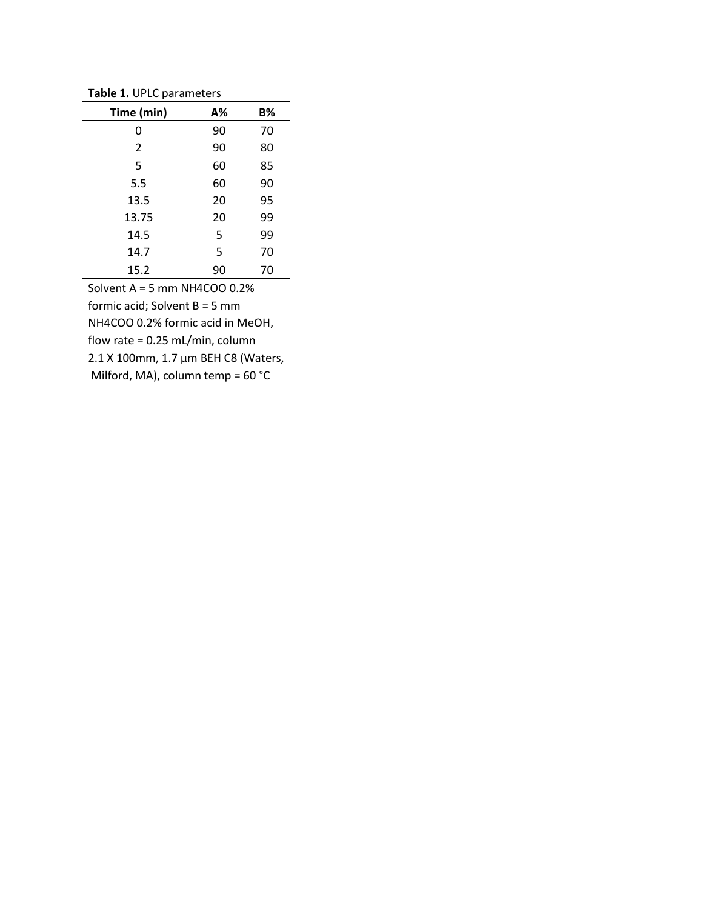**Table 1.** UPLC parameters

| <b>TODIC 1.</b> OF LC parameters |    |    |  |  |
|----------------------------------|----|----|--|--|
| Time (min)                       | А% | B% |  |  |
| 0                                | 90 | 70 |  |  |
| 2                                | 90 | 80 |  |  |
| 5                                | 60 | 85 |  |  |
| 5.5                              | 60 | 90 |  |  |
| 13.5                             | 20 | 95 |  |  |
| 13.75                            | 20 | 99 |  |  |
| 14.5                             | 5  | 99 |  |  |
| 14.7                             | 5  | 70 |  |  |
| 15.2                             | 90 | 70 |  |  |

Solvent A = 5 mm NH4COO 0.2% formic acid; Solvent B = 5 mm NH4COO 0.2% formic acid in MeOH, flow rate = 0.25 mL/min, column 2.1 X 100mm, 1.7 µm BEH C8 (Waters, Milford, MA), column temp = 60 °C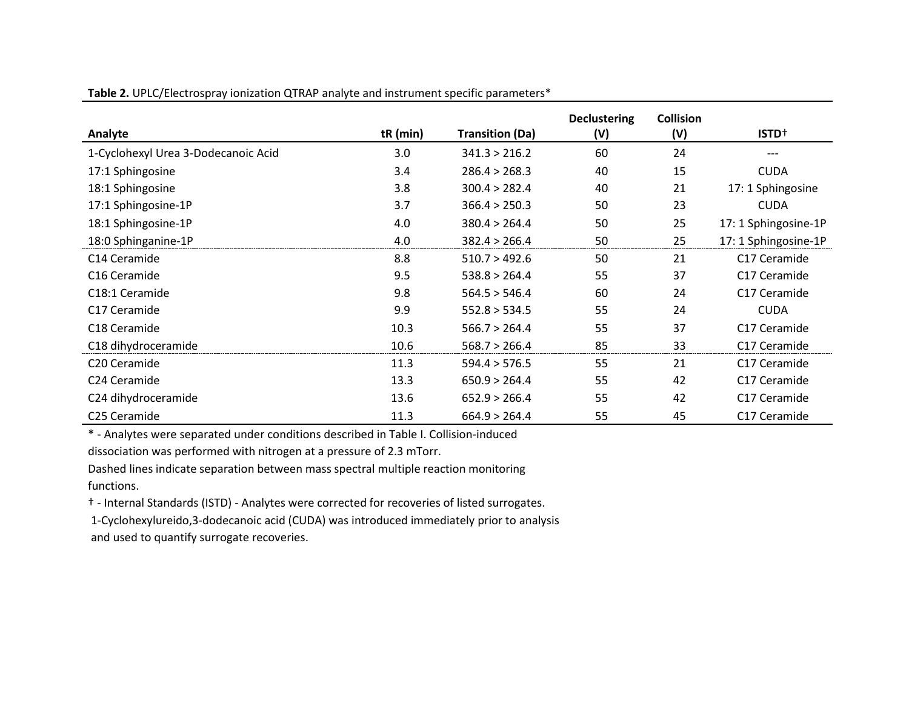**Table 2.** UPLC/Electrospray ionization QTRAP analyte and instrument specific parameters\*

|                                     |          |                        | <b>Declustering</b> | <b>Collision</b> |                      |
|-------------------------------------|----------|------------------------|---------------------|------------------|----------------------|
| Analyte                             | tR (min) | <b>Transition (Da)</b> | (V)                 | (V)              | ISTD <sup>+</sup>    |
| 1-Cyclohexyl Urea 3-Dodecanoic Acid | 3.0      | 341.3 > 216.2          | 60                  | 24               | $---$                |
| 17:1 Sphingosine                    | 3.4      | 286.4 > 268.3          | 40                  | 15               | <b>CUDA</b>          |
| 18:1 Sphingosine                    | 3.8      | 300.4 > 282.4          | 40                  | 21               | 17: 1 Sphingosine    |
| 17:1 Sphingosine-1P                 | 3.7      | 366.4 > 250.3          | 50                  | 23               | <b>CUDA</b>          |
| 18:1 Sphingosine-1P                 | 4.0      | 380.4 > 264.4          | 50                  | 25               | 17: 1 Sphingosine-1P |
| 18:0 Sphinganine-1P                 | 4.0      | 382.4 > 266.4          | 50                  | 25               | 17: 1 Sphingosine-1P |
| C <sub>14</sub> Ceramide            | 8.8      | 510.7 > 492.6          | 50                  | 21               | C17 Ceramide         |
| C <sub>16</sub> Ceramide            | 9.5      | 538.8 > 264.4          | 55                  | 37               | C17 Ceramide         |
| C18:1 Ceramide                      | 9.8      | 564.5 > 546.4          | 60                  | 24               | C17 Ceramide         |
| C17 Ceramide                        | 9.9      | 552.8 > 534.5          | 55                  | 24               | <b>CUDA</b>          |
| C <sub>18</sub> Ceramide            | 10.3     | 566.7 > 264.4          | 55                  | 37               | C17 Ceramide         |
| C18 dihydroceramide                 | 10.6     | 568.7 > 266.4          | 85                  | 33               | C17 Ceramide         |
| C <sub>20</sub> Ceramide            | 11.3     | 594.4 > 576.5          | 55                  | 21               | C17 Ceramide         |
| C <sub>24</sub> Ceramide            | 13.3     | 650.9 > 264.4          | 55                  | 42               | C17 Ceramide         |
| C24 dihydroceramide                 | 13.6     | 652.9 > 266.4          | 55                  | 42               | C17 Ceramide         |
| C <sub>25</sub> Ceramide            | 11.3     | 664.9 > 264.4          | 55                  | 45               | C17 Ceramide         |

\* - Analytes were separated under conditions described in Table I. Collision-induced

dissociation was performed with nitrogen at a pressure of 2.3 mTorr.

Dashed lines indicate separation between mass spectral multiple reaction monitoring functions.

† - Internal Standards (ISTD) - Analytes were corrected for recoveries of listed surrogates.

1-Cyclohexylureido,3-dodecanoic acid (CUDA) was introduced immediately prior to analysis and used to quantify surrogate recoveries.